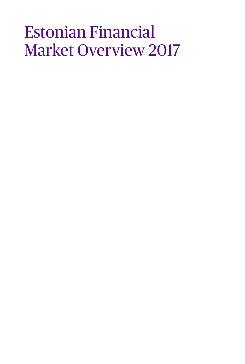### Estonian Financial Market Overview 2017

- 
- 
- -
	- -
	-
-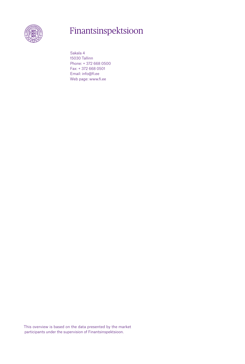

### Finantsinspektsioon

Sakala 4 15030 Tallinn Phone: + 372 668 0500 Fax: + 372 668 0501 Email: info@fi.ee Web page: www.fi.ee

This overview is based on the data presented by the market participants under the supervision of Finantsinspektsioon.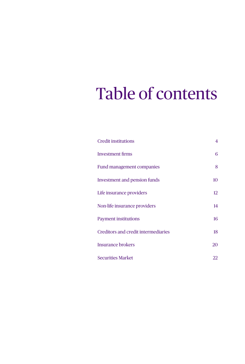## Table of contents

| <b>Credit institutions</b>                 | $\overline{4}$  |
|--------------------------------------------|-----------------|
| Investment firms                           | 6               |
| Fund management companies                  | 8               |
| Investment and pension funds               | 10 <sup>1</sup> |
| Life insurance providers                   | 12 <sup>°</sup> |
| Non-life insurance providers               | 14              |
| <b>Payment institutions</b>                | 16              |
| <b>Creditors and credit intermediaries</b> | 18              |
| <b>Insurance brokers</b>                   | 20              |
| <b>Securities Market</b>                   | 22              |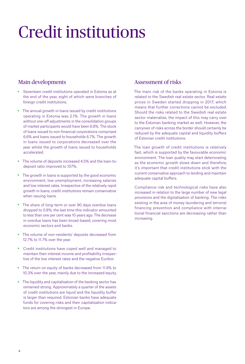## Credit institutions

### Main developments

- Seventeen credit institutions operated in Estonia as at the end of the year, eight of which were branches of foreign credit institutions.
- The annual growth in loans issued by credit institutions operating in Estonia was 2.1%. The growth in loans without one-off adjustments in the consolidation groups of market participants would have been 6.8%. The stock of loans issued to non-financial corporations comprised 6.6% and loans issued to households 6.7%. The growth in loans issued to corporations decreased over the year whilst the growth of loans issued to households accelerated.
- The volume of deposits increased 4.5% and the loan-todeposit ratio improved to 107%.
- The growth in loans is supported by the good economic environment, low unemployment, increasing salaries and low interest rates. Irrespective of the relatively rapid growth in loans, credit institutions remain conservative when issuing loans.
- The share of long-term or over 90 days overdue loans dropped to 0.8%; the last time this indicator amounted to less than one per cent was 10 years ago. The decrease in overdue loans has been broad-based, covering most economic sectors and banks.
- The volume of non-residents' deposits decreased from 12.7% to 11.7% over the year.
- Credit institutions have coped well and managed to maintain their interest income and profitability irrespective of the low interest rates and the negative Euribor.
- The return on equity of banks decreased from 11.9% to 10.3% over the year, mainly due to the increased equity.
- The liquidity and capitalisation of the banking sector has remained strong. Approximately a quarter of the assets of credit institutions are liquid and the liquidity buffer is larger than required. Estonian banks have adequate funds for covering risks and their capitalisation indicators are among the strongest in Europe.

#### Assessment of risks

The main risk of the banks operating in Estonia is related to the Swedish real estate sector. Real estate prices in Sweden started dropping in 2017, which means that further corrections cannot be excluded. Should the risks related to the Swedish real estate sector materialise, the impact of this may carry over to the Estonian banking market as well. However, the carryover of risks across the border should certainly be reduced by the adequate capital and liquidity buffers of Estonian credit institutions.

The loan growth of credit institutions is relatively fast, which is supported by the favourable economic environment. The loan quality may start deteriorating as the economic growth slows down and therefore, it's important that credit institutions stick with the current conservative approach to lending and maintain adequate capital buffers.

Compliance risk and technological risks have also increased in relation to the large number of new legal provisions and the digitalisation of banking. The risks existing in the area of money laundering and terrorist financing prevention and compliance with international financial sanctions are decreasing rather than increasing.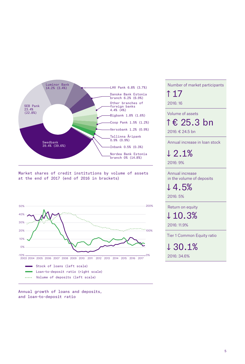

Market shares of credit institutions by volume of assets at the end of 2017 (end of 2016 in brackets)



Annual growth of loans and deposits, and loan-to-deposit ratio

Number of market participants ↑ 17 2016: 16

Volume of assets

↑ € 25.3 bn

2016: € 24.5 bn

Annual increase in loan stock

↓ 2.1%

2016: 9%

Annual increase in the volume of deposits

↓ 4.5%

2016: 5%

Return on equity ↓ 10.3%

2016: 11.9%

Tier 1 Common Equity ratio

↓ 30.1% 2016: 34.6%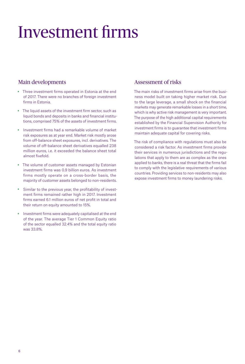### Investment firms

### Main developments

- Three investment firms operated in Estonia at the end of 2017. There were no branches of foreign investment firms in Estonia.
- The liquid assets of the investment firm sector, such as liquid bonds and deposits in banks and financial institutions, comprised 75% of the assets of investment firms.
- Investment firms had a remarkable volume of market risk exposures as at year end. Market risk mostly arose from off-balance sheet exposures, incl. derivatives. The volume of off-balance sheet derivatives equalled 238 million euros, i.e. it exceeded the balance sheet total almost fivefold.
- The volume of customer assets managed by Estonian investment firms was 0.9 billion euros. As investment firms mostly operate on a cross-border basis, the majority of customer assets belonged to non-residents.
- Similar to the previous year, the profitability of investment firms remained rather high in 2017. Investment firms earned 6.1 million euros of net profit in total and their return on equity amounted to 15%.
- Investment firms were adequately capitalised at the end of the year. The average Tier 1 Common Equity ratio of the sector equalled 32.4% and the total equity ratio was 33.8%.

### Assessment of risks

The main risks of investment firms arise from the business model built on taking higher market risk. Due to the large leverage, a small shock on the financial markets may generate remarkable losses in a short time, which is why active risk management is very important. The purpose of the high additional capital requirements established by the Financial Supervision Authority for investment firms is to guarantee that investment firms maintain adequate capital for covering risks.

The risk of compliance with regulations must also be considered a risk factor. As investment firms provide their services in numerous jurisdictions and the regulations that apply to them are as complex as the ones applied to banks, there is a real threat that the firms fail to comply with the legislative requirements of various countries. Providing services to non-residents may also expose investment firms to money laundering risks.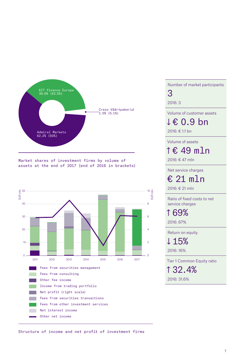

Market shares of investment firms by volume of assets at the end of 2017 (end of 2016 in brackets)



Number of market participants 3

2016: 3

Volume of customer assets

↓ € 0.9 bn

2016: € 1.1 bn

Volume of assets

↑ € 49 mln

2016: € 47 mln

Net service charges

€ 21 mln

2016: € 21 mln

Ratio of fixed costs to net service charges

↑ 69%

2016: 67%

Return on equity

↓15%

2016: 16%

Tier 1 Common Equity ratio

↑ 32.4% 2016: 31.6%

Structure of income and net profit of investment firms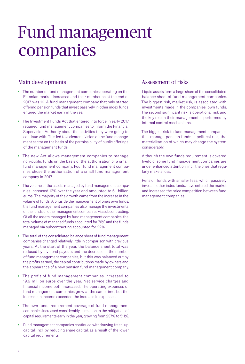### Fund management companies

#### Main developments

- The number of fund management companies operating on the Estonian market increased and their number as at the end of 2017 was 16. A fund management company that only started offering pension funds that invest passively in other index funds entered the market early in the year.
- The Investment Funds Act that entered into force in early 2017 required fund management companies to inform the Financial Supervision Authority about the activities they were going to continue with. This led to a clearer division of the fund management sector on the basis of the permissibility of public offerings of the management funds.
- The new Act allows management companies to manage non-public funds on the basis of the authorisation of a small fund management company. Four fund management companies chose the authorisation of a small fund management company in 2017.
- The volume of the assets managed by fund management companies increased 12% over the year and amounted to 6.1 billion euros. The majority of the growth came from the increase in the volume of funds. Alongside the management of one's own funds, the fund management companies also manage the investments of the funds of other management companies via subcontracting. Of all the assets managed by fund management companies, the total volume of managed funds accounted for 76% and the funds managed via subcontracting accounted for 22%.
- The total of the consolidated balance sheet of fund management companies changed relatively little in comparison with previous years. At the start of the year, the balance sheet total was reduced by dividend payouts and the decrease in the number of fund management companies, but this was balanced out by the profits earned, the capital contributions made by owners and the appearance of a new pension fund management company.
- The profit of fund management companies increased to 19.6 million euros over the year. Net service charges and financial income both increased. The operating expenses of fund management companies grew at the same time, but the increase in income exceeded the increase in expenses.
- The own funds requirement coverage of fund management companies increased considerably in relation to the mitigation of capital requirements early in the year, growing from 237% to 511%.
- Fund management companies continued withdrawing freed-up capital, incl. by reducing share capital, as a result of the lower capital requirements.

#### Assessment of risks

Liquid assets form a large share of the consolidated balance sheet of fund management companies. The biggest risk, market risk, is associated with investments made in the companies' own funds. The second significant risk is operational risk and the key role in their management is performed by internal control mechanisms.

The biggest risk to fund management companies that manage pension funds is political risk, the materialisation of which may change the system considerably.

Although the own funds requirement is covered fivefold, some fund management companies are under enhanced attention, incl. the ones that regularly make a loss.

Pension funds with smaller fees, which passively invest in other index funds, have entered the market and increased the price competition between fund management companies.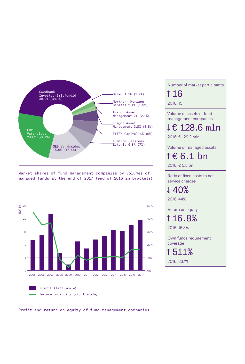

Market shares of fund management companies by volumes of managed funds at the end of 2017 (end of 2016 in brackets)



Profit and return on equity of fund management companies

### Number of market participants ↑ 16

2016: 15

Volume of assets of fund management companies

↓ € 128.6 mln

2016: € 129.2 mln

Volume of managed assets

↑ € 6.1 bn

2016: € 5.5 bn

Ratio of fixed costs to net service charges

↓ 40%

2016: 44%

Return on equity

↑ 16.8%

2016: 16.3%

Own funds requirement coverage

↑ 511% 2016: 237%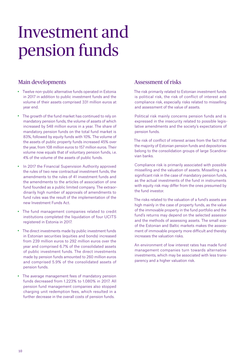### Investment and pension funds

### Main developments

- Twelve non-public alternative funds operated in Estonia in 2017 in addition to public investment funds and the volume of their assets comprised 331 million euros at year end.
- The growth of the fund market has continued to rely on mandatory pension funds, the volume of assets of which increased by 548 million euros in a year. The share of mandatory pension funds on the total fund market is 83%, followed by equity funds with 10%. The volume of the assets of public property funds increased 45% over the year, from 108 million euros to 157 million euros. Their volume now equals that of voluntary pension funds, i.e. 4% of the volume of the assets of public funds.
- In 2017 the Financial Supervision Authority approved the rules of two new contractual investment funds, the amendments to the rules of 41 investment funds and the amendments to the articles of association of one fund founded as a public limited company. The extraordinarily high number of approvals of amendments to fund rules was the result of the implementation of the new Investment Funds Act.
- The fund management companies related to credit institutions completed the liquidation of four UCITS registered in Estonia in 2017.
- The direct investments made by public investment funds in Estonian securities (equities and bonds) increased from 239 million euros to 292 million euros over the year and comprised 6.7% of the consolidated assets of public investment funds. The direct investments made by pension funds amounted to 260 million euros and comprised 5.9% of the consolidated assets of pension funds.
- The average management fees of mandatory pension funds decreased from 1.223% to 1.080% in 2017. All pension fund management companies also stopped charging unit redemption fees, which resulted in a further decrease in the overall costs of pension funds.

### Assessment of risks

- The risk primarily related to Estonian investment funds is political risk, the risk of conflict of interest and compliance risk, especially risks related to misselling and assessment of the value of assets.
- Political risk mainly concerns pension funds and is expressed in the insecurity related to possible legislative amendments and the society's expectations of pension funds.
- The risk of conflict of interest arises from the fact that the majority of Estonian pension funds and depositories belong to the consolidation groups of large Scandinavian banks.
- Compliance risk is primarily associated with possible misselling and the valuation of assets. Misselling is a significant risk in the case of mandatory pension funds, as the actual investments of the fund in instruments with equity risk may differ from the ones presumed by the fund investor.
- The risks related to the valuation of a fund's assets are high mainly in the case of property funds, as the value of the immovable property in the fund portfolio and the fund's returns may depend on the selected assessor and the methods of assessing assets. The small size of the Estonian and Baltic markets makes the assessment of immovable property more difficult and thereby increases the valuation risks.
- An environment of low interest rates has made fund management companies turn towards alternative investments, which may be associated with less transparency and a higher valuation risk.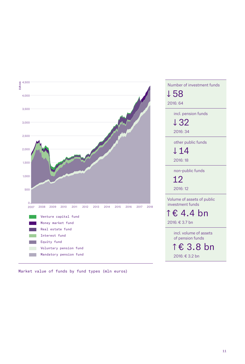

Market value of funds by fund types (mln euros)

| ↓58<br>2016: 64<br>incl. pension funds<br>↓32 |
|-----------------------------------------------|
|                                               |
|                                               |
|                                               |
|                                               |
|                                               |
| 2016:34                                       |
| other public funds                            |
| ↓14                                           |
| 2016:18                                       |
|                                               |
| non-public funds                              |
| 12                                            |
| 2016:12                                       |
| Volume of assets of public                    |
| investment funds                              |
| ↑€ 4.4 bn                                     |
| 2016: € 3.7 bn                                |
| incl. volume of assets                        |
| of pension funds                              |
|                                               |
| ↑€ 3.8 bn                                     |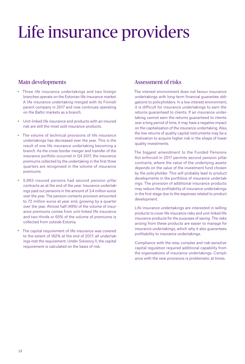## Life insurance providers

### Main developments

- Three life insurance undertakings and two foreign branches operate on the Estonian life insurance market. A life insurance undertaking merged with its Finnish parent company in 2017 and now continues operating on the Baltic markets as a branch.
- Unit-linked life insurance and products with an insured risk are still the most sold insurance products.
- The volume of technical provisions of life insurance undertakings has decreased over the year. This is the result of one life insurance undertaking becoming a branch. As the cross-border merger and transfer of the insurance portfolio occurred in Q4 2017, the insurance premiums collected by the undertaking in the first three quarters are recognised in the volume of insurance premiums.
- 5,993 insured persons had second pension pillar contracts as at the end of the year. Insurance undertakings paid out pensions in the amount of 3.4 million euros over the year. The pension contacts provision amounted to 72 million euros at year end, growing by a quarter over the year. Almost half (49%) of the volume of insurance premiums comes from unit-linked life insurance and two-thirds or 65% of the volume of premiums is collected from outside Estonia.
- The capital requirement of life insurance was covered to the extent of 182% at the end of 2017, all undertakings met the requirement. Under Solvency II, the capital requirement is calculated on the basis of risk.

#### Assessment of risks

The interest environment does not favour insurance undertakings with long-term financial guarantee obligations to policyholders. In a low interest environment, it is difficult for insurance undertakings to earn the returns guaranteed to clients. If an insurance undertaking cannot earn the returns guaranteed to clients over a long period of time, it may have a negative impact on the capitalisation of the insurance undertaking. Also, the low returns of quality capital instruments may be a motivation to acquire higher risk in the shape of lower quality investments.

The biggest amendment to the Funded Pensions Act enforced in 2017 permits second pension pillar contracts, where the value of the underlying assets depends on the value of the investment fund chosen by the policyholder. This will probably lead to product developments in the portfolios of insurance undertakings. The provision of additional insurance products may reduce the profitability of insurance undertakings in the first stage due to the expenses related to product development.

Life insurance undertakings are interested in selling products to cover life insurance risks and unit-linked life insurance products for the purposes of saving. The risks arising from these products are easier to manage for insurance undertakings, which why it also guarantees profitability to insurance undertakings.

Compliance with the new, complex and risk-sensitive capital regulation required additional capability from the organisations of insurance undertakings. Compliance with the new provisions is problematic at times.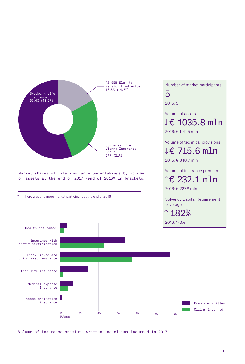

Volume of insurance premiums written and claims incurred in 2017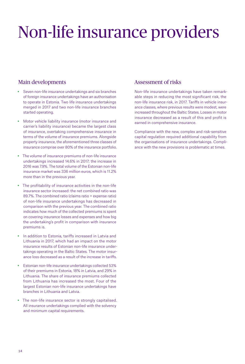# Non-life insurance providers

### Main developments

- Seven non-life insurance undertakings and six branches of foreign insurance undertakings have an authorisation to operate in Estonia. Two life insurance undertakings merged in 2017 and two non-life insurance branches started operating.
- Motor vehicle liability insurance (motor insurance and carrier's liability insurance) became the largest class of insurance, overtaking comprehensive insurance in terms of the volume of insurance premiums. Alongside property insurance, the aforementioned three classes of insurance comprise over 80% of the insurance portfolio.
- The volume of insurance premiums of non-life insurance undertakings increased 14.6% in 2017; the increase in 2016 was 7.9%. The total volume of the Estonian non-life insurance market was 336 million euros, which is 11.2% more than in the previous year.
- The profitability of insurance activities in the non-life insurance sector increased: the net combined ratio was 89.7%. The combined ratio (claims ratio + expense ratio) of non-life insurance undertakings has decreased in comparison with the previous year. The combined ratio indicates how much of the collected premiums is spent on covering insurance losses and expenses and how big the undertaking's profit in comparison with insurance premiums is.
- In addition to Estonia, tariffs increased in Latvia and Lithuania in 2017, which had an impact on the motor insurance results of Estonian non-life insurance undertakings operating in the Baltic States. The motor insurance loss decreased as a result of the increase in tariffs.
- Estonian non-life insurance undertakings collected 53% of their premiums in Estonia, 18% in Latvia, and 29% in Lithuania. The share of insurance premiums collected from Lithuania has increased the most. Four of the largest Estonian non-life insurance undertakings have branches in Lithuania and Latvia.
- The non-life insurance sector is strongly capitalised. All insurance undertakings complied with the solvency and minimum capital requirements.

### Assessment of risks

Non-life insurance undertakings have taken remarkable steps in reducing the most significant risk, the non-life insurance risk, in 2017. Tariffs in vehicle insurance classes, where previous results were modest, were increased throughout the Baltic States. Losses in motor insurance decreased as a result of this and profit is earned in comprehensive insurance.

Compliance with the new, complex and risk-sensitive capital regulation required additional capability from the organisations of insurance undertakings. Compliance with the new provisions is problematic at times.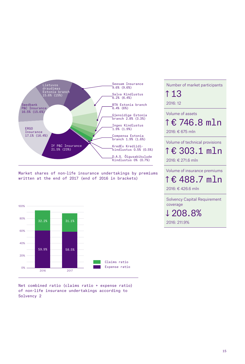

Market shares of non-life insurance undertakings by premiums written at the end of 2017 (end of 2016 in brackets)



Net combined ratio (claims ratio + expense ratio) of non-life insurance undertakings according to Solvency 2

Number of market participants ↑ 13

2016: 12

Volume of assets

↑ € 746.8 mln

2016: € 675 mln

#### Volume of technical provisions

↑ € 303.1 mln 2016: € 271.6 mln

Volume of insurance premiums

↑ € 488.7 mln

2016: € 426.6 mln

Solvency Capital Requirement coverage

↓ 208.8% 2016: 211.9%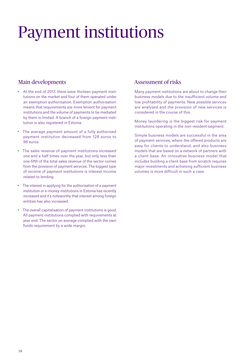## Payment institutions

### Main developments

- At the end of 2017, there were thirteen payment institutions on the market and four of them operated under an exemption authorisation. Exemption authorisation means that requirements are more lenient for payment institutions and the volume of payments to be mediated by them is limited. A branch of a foreign payment institution is also registered in Estonia.
- The average payment amount of a fully authorised payment institution decreased from 128 euros to 98 euros.
- The sales revenue of payment institutions increased one and a half times over the year, but only less than one-fifth of the total sales revenue of the sector comes from the provision of payment services. The biggest type of income of payment institutions is interest income related to lending.
- The interest in applying for the authorisation of a payment institution or e-money institutions in Estonia has recently increased and it's noteworthy that interest among foreign entities has also increased.
- The overall capitalisation of payment institutions is good. All payment institutions complied with requirements at year end. The sector on average complied with the own funds requirement by a wide margin.

### Assessment of risks

- Many payment institutions are about to change their business models due to the insufficient volume and low profitability of payments. New possible services are analysed and the provision of new services is considered in the course of this.
- Money laundering is the biggest risk for payment institutions operating in the non-resident segment.
- Simple business models are successful in the area of payment services, where the offered products are easy for clients to understand, and also business models that are based on a network of partners with a client base. An innovative business model that includes building a client base from scratch requires major investments and achieving sufficient business volumes is more difficult in such a case.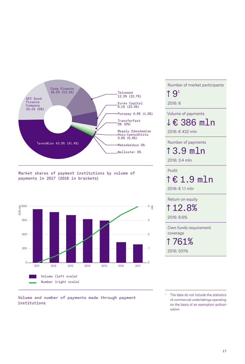

Market shares of payment institutions by volume of payments in 2017 (2016 in brackets)



Volume and number of payments made through payment institutions

Number of market participants  $\uparrow$  9<sup>1</sup> 2016: 8 Volume of payments

↓ € 386 mln

2016: € 432 mln

Number of payments

↑ 3.9 mln

2016: 3.4 mln

Profit

↑ € 1.9 mln

2016: € 1.1 mln

Return on equity ↑ 12.8%

2016: 8.6%

Own funds requirement coverage

↑ 761%

2016: 551%

The data do not include the statistics of commercial undertakings operating on the basis of an exemption authorisation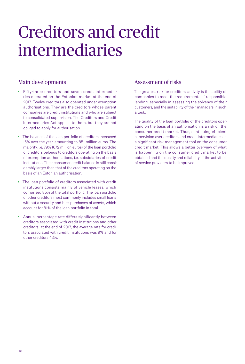### Creditors and credit intermediaries

### Main developments

- Fifty-three creditors and seven credit intermediaries operated on the Estonian market at the end of 2017. Twelve creditors also operated under exemption authorisations. They are the creditors whose parent companies are credit institutions and who are subject to consolidated supervision. The Creditors and Credit Intermediaries Act applies to them, but they are not obliged to apply for authorisation.
- The balance of the loan portfolio of creditors increased 15% over the year, amounting to 851 million euros. The majority, i.e. 79% (672 million euros) of the loan portfolio of creditors belongs to creditors operating on the basis of exemption authorisations, i.e. subsidiaries of credit institutions. Their consumer credit balance is still considerably larger than that of the creditors operating on the basis of an Estonian authorisation.
- The loan portfolio of creditors associated with credit institutions consists mainly of vehicle leases, which comprised 85% of the total portfolio. The loan portfolio of other creditors most commonly includes small loans without a security and hire-purchases of assets, which account for 81% of the loan portfolio in total.
- Annual percentage rate differs significantly between creditors associated with credit institutions and other creditors: at the end of 2017, the average rate for creditors associated with credit institutions was 9% and for other creditors 43%.

### Assessment of risks

The greatest risk for creditors' activity is the ability of companies to meet the requirements of responsible lending, especially in assessing the solvency of their customers, and the suitability of their managers in such a task.

The quality of the loan portfolio of the creditors operating on the basis of an authorisation is a risk on the consumer credit market. Thus, continuing efficient supervision over creditors and credit intermediaries is a significant risk management tool on the consumer credit market. This allows a better overview of what is happening on the consumer credit market to be obtained and the quality and reliability of the activities of service providers to be improved.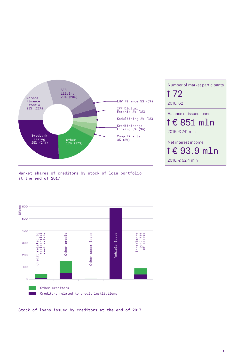

Number of market participants ↑ 72 2016: 62 Balance of issued loans ↑ € 851 mln 2016: € 741 mln Net interest income ↑ € 93.9 mln

2016: € 92.4 mln

Market shares of creditors by stock of loan portfolio at the end of 2017



Stock of loans issued by creditors at the end of 2017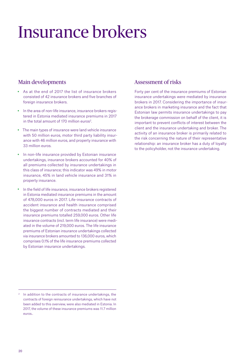## Insurance brokers

### Main developments

- As at the end of 2017 the list of insurance brokers consisted of 42 insurance brokers and five branches of foreign insurance brokers.
- In the area of non-life insurance, insurance brokers registered in Estonia mediated insurance premiums in 2017 in the total amount of 170 million euros<sup>2</sup>.
- The main types of insurance were land vehicle insurance with 50 million euros, motor third party liability insurance with 46 million euros, and property insurance with 33 million euros.
- In non-life insurance provided by Estonian insurance undertakings, insurance brokers accounted for 40% of all premiums collected by insurance undertakings in this class of insurance; this indicator was 49% in motor insurance, 45% in land vehicle insurance and 31% in property insurance.
- In the field of life insurance, insurance brokers registered in Estonia mediated insurance premiums in the amount of 478,000 euros in 2017. Life-insurance contracts of accident insurance and health insurance comprised the biggest number of contracts mediated and their insurance premiums totalled 259,000 euros. Other life insurance contracts (incl. term life insurance) were mediated in the volume of 219,000 euros. The life insurance premiums of Estonian insurance undertakings collected via insurance brokers amounted to 136,000 euros, which comprises 0.1% of the life insurance premiums collected by Estonian insurance undertakings.

### Assessment of risks

Forty per cent of the insurance premiums of Estonian insurance undertakings were mediated by insurance brokers in 2017. Considering the importance of insurance brokers in marketing insurance and the fact that Estonian law permits insurance undertakings to pay the brokerage commission on behalf of the client, it is important to prevent conflicts of interest between the client and the insurance undertaking and broker. The activity of an insurance broker is primarily related to the risk concerning the nature of their representative relationship: an insurance broker has a duty of loyalty to the policyholder, not the insurance undertaking.

<sup>&</sup>lt;sup>2</sup> In addition to the contracts of insurance undertakings, the contracts of foreign reinsurance undertakings, which have not been added to this overview, were also mediated in Estonia. In 2017, the volume of these insurance premiums was 11.7 million euros..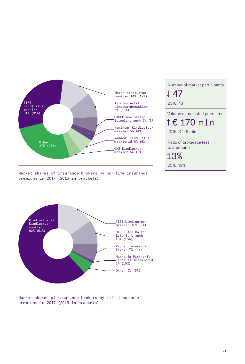

Market shares of insurance brokers by non-life insurance premiums in 2017 (2016 in brackets)

↓ 47 2016: 48 Volume of mediated premiums ↑ € 170 mln 2016: € 149 mln Ratio of brokerage fees to premiums

Number of market participants

13% 2016: 13%



Market shares of insurance brokers by life insurance premiums in 2017 (2016 in brackets)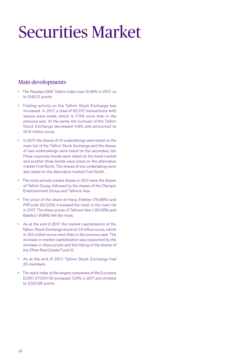## Securities Market

### Main developments

- The Nasdaq OMX Tallinn index rose 15.49% in 2017, i.e. to 1242.12 points.
- Trading activity on the Tallinn Stock Exchange has increased. In 2017, a total of 60,337 transactions with shares were made, which is 17.9% more than in the previous year. At the same, the turnover of the Tallinn Stock Exchange decreased 4.8% and amounted to 151.6 million euros.
- In 2017, the shares of 15 undertakings were listed on the main list of the Tallinn Stock Exchange and the shares of two undertakings were listed on the secondary list. Three corporate bonds were listed on the bond market and another three bonds were listed on the alternative market First North. The shares of one undertaking were also listed on the alternative market First North.
- The most actively traded shares in 2017 were the shares of Tallink Grupp, followed by the shares of the Olympic Entertainment Group and Tallinna Vesi.
- The price of the share of Harju Elekter (76.68%) and PRFoods (63.22%) increased the most in the main list in 2017. The share prices of Tallinna Vesi (-26.09%) and Baltika (-9.89%) fell the most.
- As at the end of 2017, the market capitalisation of the Tallinn Stock Exchange stood at 2.6 billion euros, which is 300 million euros more than in the previous year. The increase in market capitalisation was supported by the increase in share prices and the listing of the shares of the Eften Real Estate Fund III.
- As at the end of 2017, Tallinn Stock Exchange had 20 members.
- The stock index of the largest companies of the Eurozone EURO STOXX 50 increased 7.24% in 2017 and climbed to 3,503.96 points.